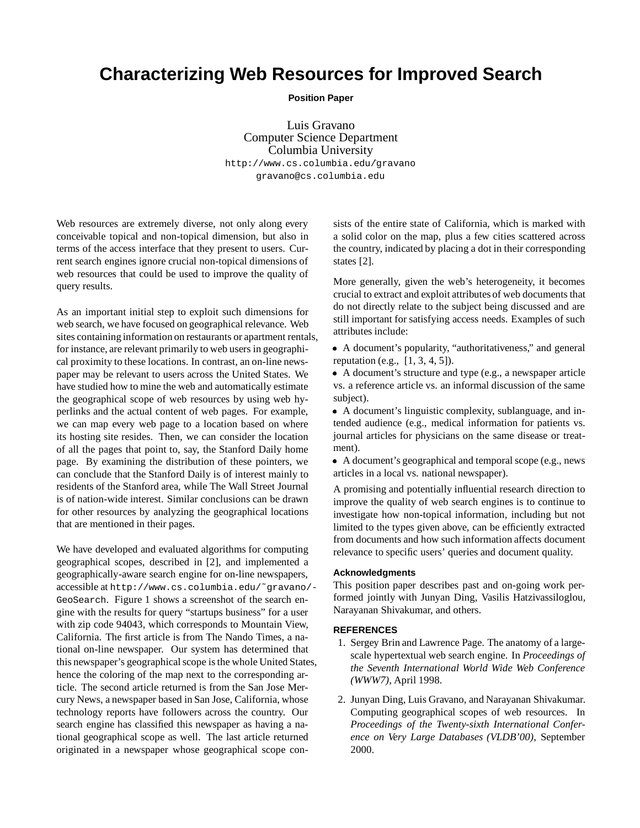## **Characterizing Web Resources for Improved Search**

**Position Paper**

Luis Gravano Computer Science Department Columbia University http://www.cs.columbia.edu/gravano gravano@cs.columbia.edu

Web resources are extremely diverse, not only along every conceivable topical and non-topical dimension, but also in terms of the access interface that they present to users. Current search engines ignore crucial non-topical dimensions of web resources that could be used to improve the quality of query results.

As an important initial step to exploit such dimensions for web search, we have focused on geographical relevance. Web sites containing information on restaurants or apartment rentals, for instance, are relevant primarily to web users in geographical proximity to these locations. In contrast, an on-line newspaper may be relevant to users across the United States. We have studied how to mine the web and automatically estimate the geographical scope of web resources by using web hyperlinks and the actual content of web pages. For example, we can map every web page to a location based on where its hosting site resides. Then, we can consider the location of all the pages that point to, say, the Stanford Daily home page. By examining the distribution of these pointers, we can conclude that the Stanford Daily is of interest mainly to residents of the Stanford area, while The Wall Street Journal is of nation-wide interest. Similar conclusions can be drawn for other resources by analyzing the geographical locations that are mentioned in their pages.

We have developed and evaluated algorithms for computing geographical scopes, described in [2], and implemented a geographically-aware search engine for on-line newspapers, accessible at http://www.cs.columbia.edu/˜gravano/- GeoSearch. Figure 1 shows a screenshot of the search engine with the results for query "startups business" for a user with zip code 94043, which corresponds to Mountain View, California. The first article is from The Nando Times, a national on-line newspaper. Our system has determined that this newspaper's geographical scope is the whole United States, hence the coloring of the map next to the corresponding article. The second article returned is from the San Jose Mercury News, a newspaper based in San Jose, California, whose technology reports have followers across the country. Our search engine has classified this newspaper as having a national geographical scope as well. The last article returned originated in a newspaper whose geographical scope consists of the entire state of California, which is marked with a solid color on the map, plus a few cities scattered across the country, indicated by placing a dot in their corresponding states [2].

More generally, given the web's heterogeneity, it becomes crucial to extract and exploit attributes of web documents that do not directly relate to the subject being discussed and are still important for satisfying access needs. Examples of such attributes include:

 A document's popularity, "authoritativeness," and general reputation (e.g., [1, 3, 4, 5]).

 A document's structure and type (e.g., a newspaper article vs. a reference article vs. an informal discussion of the same subject).

 A document's linguistic complexity, sublanguage, and intended audience (e.g., medical information for patients vs. journal articles for physicians on the same disease or treatment).

 A document's geographical and temporal scope (e.g., news articles in a local vs. national newspaper).

A promising and potentially influential research direction to improve the quality of web search engines is to continue to investigate how non-topical information, including but not limited to the types given above, can be efficiently extracted from documents and how such information affects document relevance to specific users' queries and document quality.

## **Acknowledgments**

This position paper describes past and on-going work performed jointly with Junyan Ding, Vasilis Hatzivassiloglou, Narayanan Shivakumar, and others.

## **REFERENCES**

- 1. Sergey Brin and Lawrence Page. The anatomy of a largescale hypertextual web search engine. In *Proceedings of the Seventh International World Wide Web Conference (WWW7)*, April 1998.
- 2. Junyan Ding, Luis Gravano, and Narayanan Shivakumar. Computing geographical scopes of web resources. In *Proceedings of the Twenty-sixth International Conference on Very Large Databases (VLDB'00)*, September 2000.